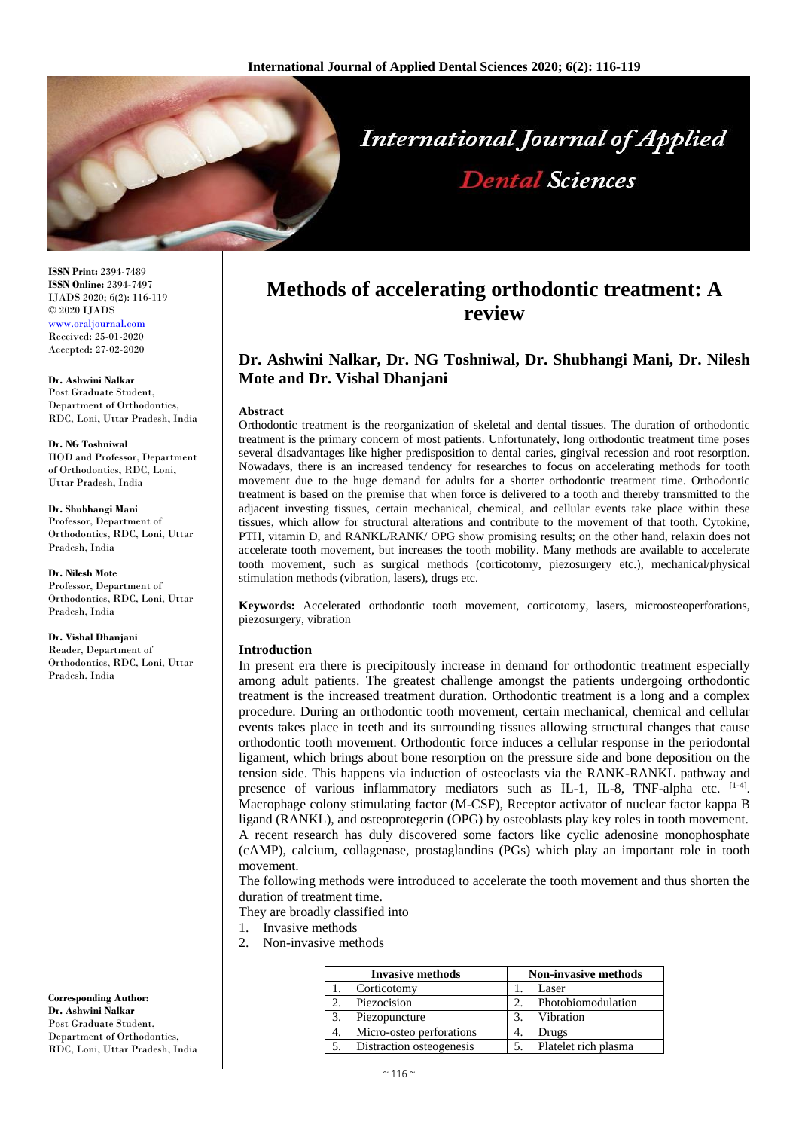

**ISSN Print:** 2394-7489 **ISSN Online:** 2394-7497 IJADS 2020; 6(2): 116-119 © 2020 IJADS [www.oraljournal.com](http://www.oraljournal.com/) Received: 25-01-2020 Accepted: 27-02-2020

**Dr. Ashwini Nalkar** Post Graduate Student, Department of Orthodontics, RDC, Loni, Uttar Pradesh, India

**Dr. NG Toshniwal** HOD and Professor, Department of Orthodontics, RDC, Loni, Uttar Pradesh, India

**Dr. Shubhangi Mani** Professor, Department of Orthodontics, RDC, Loni, Uttar Pradesh, India

**Dr. Nilesh Mote** Professor, Department of Orthodontics, RDC, Loni, Uttar Pradesh, India

**Dr. Vishal Dhanjani** Reader, Department of Orthodontics, RDC, Loni, Uttar Pradesh, India

**Corresponding Author: Dr. Ashwini Nalkar** Post Graduate Student, Department of Orthodontics, RDC, Loni, Uttar Pradesh, India

# **Methods of accelerating orthodontic treatment: A review**

## **Dr. Ashwini Nalkar, Dr. NG Toshniwal, Dr. Shubhangi Mani, Dr. Nilesh Mote and Dr. Vishal Dhanjani**

#### **Abstract**

Orthodontic treatment is the reorganization of skeletal and dental tissues. The duration of orthodontic treatment is the primary concern of most patients. Unfortunately, long orthodontic treatment time poses several disadvantages like higher predisposition to dental caries, gingival recession and root resorption. Nowadays, there is an increased tendency for researches to focus on accelerating methods for tooth movement due to the huge demand for adults for a shorter orthodontic treatment time. Orthodontic treatment is based on the premise that when force is delivered to a tooth and thereby transmitted to the adjacent investing tissues, certain mechanical, chemical, and cellular events take place within these tissues, which allow for structural alterations and contribute to the movement of that tooth. Cytokine, PTH, vitamin D, and RANKL/RANK/ OPG show promising results; on the other hand, relaxin does not accelerate tooth movement, but increases the tooth mobility. Many methods are available to accelerate tooth movement, such as surgical methods (corticotomy, piezosurgery etc.), mechanical/physical stimulation methods (vibration, lasers), drugs etc.

**Keywords:** Accelerated orthodontic tooth movement, corticotomy, lasers, microosteoperforations, piezosurgery, vibration

## **Introduction**

In present era there is precipitously increase in demand for orthodontic treatment especially among adult patients. The greatest challenge amongst the patients undergoing orthodontic treatment is the increased treatment duration. Orthodontic treatment is a long and a complex procedure. During an orthodontic tooth movement, certain mechanical, chemical and cellular events takes place in teeth and its surrounding tissues allowing structural changes that cause orthodontic tooth movement. Orthodontic force induces a cellular response in the periodontal ligament, which brings about bone resorption on the pressure side and bone deposition on the tension side. This happens via induction of osteoclasts via the RANK-RANKL pathway and presence of various inflammatory mediators such as IL-1, IL-8, TNF-alpha etc.  $[1-4]$ . Macrophage colony stimulating factor (M-CSF), Receptor activator of nuclear factor kappa B ligand (RANKL), and osteoprotegerin (OPG) by osteoblasts play key roles in tooth movement. A recent research has duly discovered some factors like cyclic adenosine monophosphate (cAMP), calcium, collagenase, prostaglandins (PGs) which play an important role in tooth movement.

The following methods were introduced to accelerate the tooth movement and thus shorten the duration of treatment time.

They are broadly classified into

- 1. Invasive methods
- 2. Non-invasive methods

| <b>Invasive methods</b> |                          | <b>Non-invasive methods</b> |                      |
|-------------------------|--------------------------|-----------------------------|----------------------|
|                         | Corticotomy              |                             | Laser                |
|                         | Piezocision              |                             | Photobiomodulation   |
|                         | Piezopuncture            | 3.                          | Vibration            |
|                         | Micro-osteo perforations |                             | Drugs                |
|                         | Distraction osteogenesis |                             | Platelet rich plasma |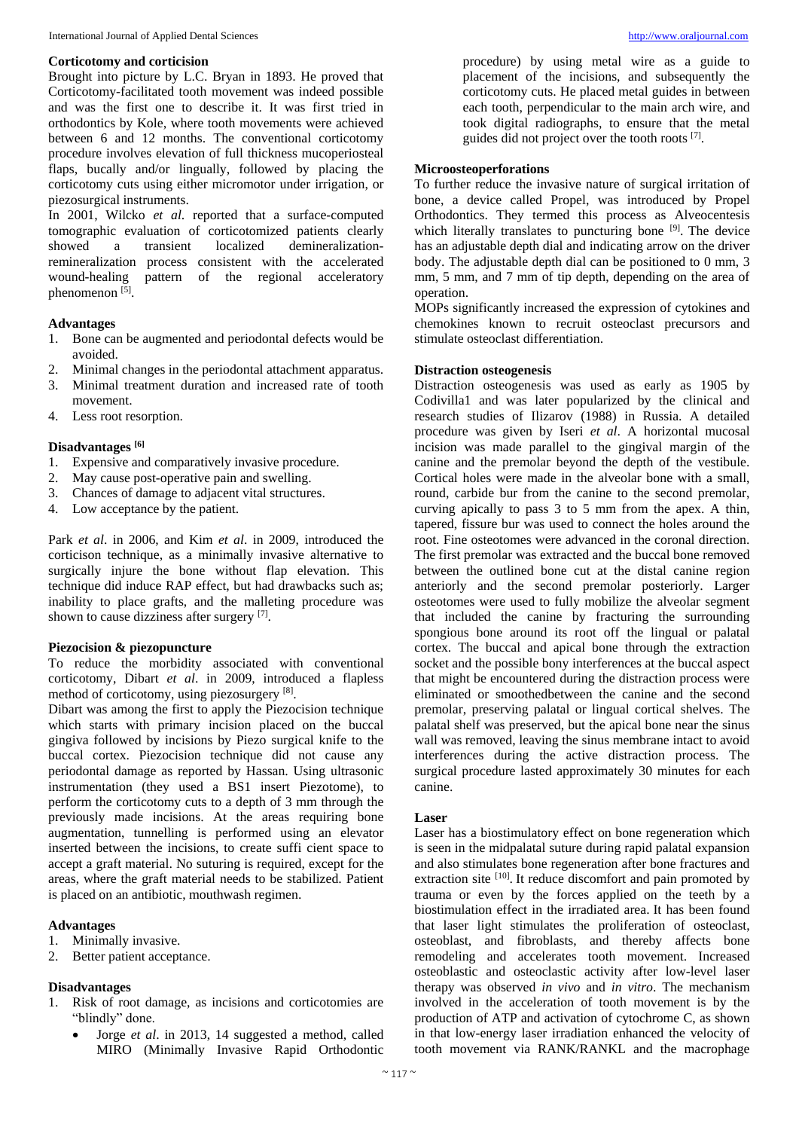## **Corticotomy and corticision**

Brought into picture by L.C. Bryan in 1893. He proved that Corticotomy-facilitated tooth movement was indeed possible and was the first one to describe it. It was first tried in orthodontics by Kole, where tooth movements were achieved between 6 and 12 months. The conventional corticotomy procedure involves elevation of full thickness mucoperiosteal flaps, bucally and/or lingually, followed by placing the corticotomy cuts using either micromotor under irrigation, or piezosurgical instruments.

In 2001, Wilcko *et al*. reported that a surface-computed tomographic evaluation of corticotomized patients clearly showed a transient localized demineralizationremineralization process consistent with the accelerated wound-healing pattern of the regional acceleratory phenomenon<sup>[5]</sup>.

## **Advantages**

- 1. Bone can be augmented and periodontal defects would be avoided.
- 2. Minimal changes in the periodontal attachment apparatus.
- 3. Minimal treatment duration and increased rate of tooth movement.
- 4. Less root resorption.

## **Disadvantages [6]**

- 1. Expensive and comparatively invasive procedure.
- 2. May cause post-operative pain and swelling.
- 3. Chances of damage to adjacent vital structures.
- 4. Low acceptance by the patient.

Park *et al*. in 2006, and Kim *et al*. in 2009, introduced the corticison technique, as a minimally invasive alternative to surgically injure the bone without flap elevation. This technique did induce RAP effect, but had drawbacks such as; inability to place grafts, and the malleting procedure was shown to cause dizziness after surgery [7].

## **Piezocision & piezopuncture**

To reduce the morbidity associated with conventional corticotomy, Dibart *et al*. in 2009, introduced a flapless method of corticotomy, using piezosurgery [8] .

Dibart was among the first to apply the Piezocision technique which starts with primary incision placed on the buccal gingiva followed by incisions by Piezo surgical knife to the buccal cortex. Piezocision technique did not cause any periodontal damage as reported by Hassan. Using ultrasonic instrumentation (they used a BS1 insert Piezotome), to perform the corticotomy cuts to a depth of 3 mm through the previously made incisions. At the areas requiring bone augmentation, tunnelling is performed using an elevator inserted between the incisions, to create suffi cient space to accept a graft material. No suturing is required, except for the areas, where the graft material needs to be stabilized. Patient is placed on an antibiotic, mouthwash regimen.

## **Advantages**

- 1. Minimally invasive.
- 2. Better patient acceptance.

## **Disadvantages**

- 1. Risk of root damage, as incisions and corticotomies are "blindly" done.
	- Jorge *et al*. in 2013, 14 suggested a method, called MIRO (Minimally Invasive Rapid Orthodontic

procedure) by using metal wire as a guide to placement of the incisions, and subsequently the corticotomy cuts. He placed metal guides in between each tooth, perpendicular to the main arch wire, and took digital radiographs, to ensure that the metal guides did not project over the tooth roots [7].

## **Microosteoperforations**

To further reduce the invasive nature of surgical irritation of bone, a device called Propel, was introduced by Propel Orthodontics. They termed this process as Alveocentesis which literally translates to puncturing bone <sup>[9]</sup>. The device has an adjustable depth dial and indicating arrow on the driver body. The adjustable depth dial can be positioned to 0 mm, 3 mm, 5 mm, and 7 mm of tip depth, depending on the area of operation.

MOPs significantly increased the expression of cytokines and chemokines known to recruit osteoclast precursors and stimulate osteoclast differentiation.

## **Distraction osteogenesis**

Distraction osteogenesis was used as early as 1905 by Codivilla1 and was later popularized by the clinical and research studies of Ilizarov (1988) in Russia. A detailed procedure was given by Iseri *et al*. A horizontal mucosal incision was made parallel to the gingival margin of the canine and the premolar beyond the depth of the vestibule. Cortical holes were made in the alveolar bone with a small, round, carbide bur from the canine to the second premolar, curving apically to pass 3 to 5 mm from the apex. A thin, tapered, fissure bur was used to connect the holes around the root. Fine osteotomes were advanced in the coronal direction. The first premolar was extracted and the buccal bone removed between the outlined bone cut at the distal canine region anteriorly and the second premolar posteriorly. Larger osteotomes were used to fully mobilize the alveolar segment that included the canine by fracturing the surrounding spongious bone around its root off the lingual or palatal cortex. The buccal and apical bone through the extraction socket and the possible bony interferences at the buccal aspect that might be encountered during the distraction process were eliminated or smoothedbetween the canine and the second premolar, preserving palatal or lingual cortical shelves. The palatal shelf was preserved, but the apical bone near the sinus wall was removed, leaving the sinus membrane intact to avoid interferences during the active distraction process. The surgical procedure lasted approximately 30 minutes for each canine.

## **Laser**

Laser has a biostimulatory effect on bone regeneration which is seen in the midpalatal suture during rapid palatal expansion and also stimulates bone regeneration after bone fractures and extraction site <sup>[10]</sup>. It reduce discomfort and pain promoted by trauma or even by the forces applied on the teeth by a biostimulation effect in the irradiated area. It has been found that laser light stimulates the proliferation of osteoclast, osteoblast, and fibroblasts, and thereby affects bone remodeling and accelerates tooth movement. Increased osteoblastic and osteoclastic activity after low-level laser therapy was observed *in vivo* and *in vitro*. The mechanism involved in the acceleration of tooth movement is by the production of ATP and activation of cytochrome C, as shown in that low-energy laser irradiation enhanced the velocity of tooth movement via RANK/RANKL and the macrophage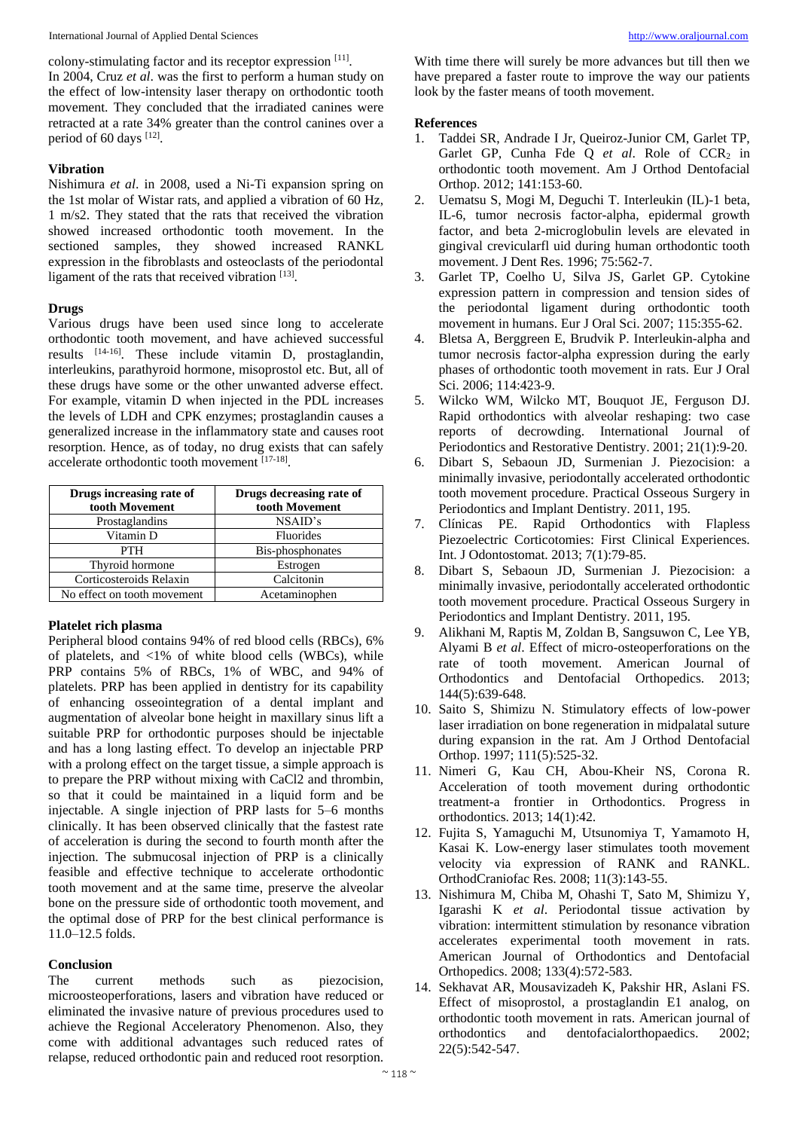International Journal of Applied Dental Sciences [http://www.oraljournal.com](http://www.oraljournal.com/)

colony-stimulating factor and its receptor expression [11].

In 2004, Cruz *et al*. was the first to perform a human study on the effect of low-intensity laser therapy on orthodontic tooth movement. They concluded that the irradiated canines were retracted at a rate 34% greater than the control canines over a period of 60 days [12].

## **Vibration**

Nishimura *et al*. in 2008, used a Ni-Ti expansion spring on the 1st molar of Wistar rats, and applied a vibration of 60 Hz, 1 m/s2. They stated that the rats that received the vibration showed increased orthodontic tooth movement. In the sectioned samples, they showed increased RANKL expression in the fibroblasts and osteoclasts of the periodontal ligament of the rats that received vibration [13].

### **Drugs**

Various drugs have been used since long to accelerate orthodontic tooth movement, and have achieved successful results [14-16]. These include vitamin D, prostaglandin, interleukins, parathyroid hormone, misoprostol etc. But, all of these drugs have some or the other unwanted adverse effect. For example, vitamin D when injected in the PDL increases the levels of LDH and CPK enzymes; prostaglandin causes a generalized increase in the inflammatory state and causes root resorption. Hence, as of today, no drug exists that can safely accelerate orthodontic tooth movement [17-18].

| Drugs increasing rate of    | Drugs decreasing rate of |
|-----------------------------|--------------------------|
| tooth Movement              | tooth Movement           |
| Prostaglandins              | NSAID's                  |
| Vitamin D                   | Fluorides                |
| <b>PTH</b>                  | Bis-phosphonates         |
| Thyroid hormone             | Estrogen                 |
| Corticosteroids Relaxin     | Calcitonin               |
| No effect on tooth movement | Acetaminophen            |

## **Platelet rich plasma**

Peripheral blood contains 94% of red blood cells (RBCs), 6% of platelets, and  $\langle 1\%$  of white blood cells (WBCs), while PRP contains 5% of RBCs, 1% of WBC, and 94% of platelets. PRP has been applied in dentistry for its capability of enhancing osseointegration of a dental implant and augmentation of alveolar bone height in maxillary sinus lift a suitable PRP for orthodontic purposes should be injectable and has a long lasting effect. To develop an injectable PRP with a prolong effect on the target tissue, a simple approach is to prepare the PRP without mixing with CaCl2 and thrombin, so that it could be maintained in a liquid form and be injectable. A single injection of PRP lasts for 5–6 months clinically. It has been observed clinically that the fastest rate of acceleration is during the second to fourth month after the injection. The submucosal injection of PRP is a clinically feasible and effective technique to accelerate orthodontic tooth movement and at the same time, preserve the alveolar bone on the pressure side of orthodontic tooth movement, and the optimal dose of PRP for the best clinical performance is 11.0–12.5 folds.

## **Conclusion**

The current methods such as piezocision, microosteoperforations, lasers and vibration have reduced or eliminated the invasive nature of previous procedures used to achieve the Regional Acceleratory Phenomenon. Also, they come with additional advantages such reduced rates of relapse, reduced orthodontic pain and reduced root resorption.

With time there will surely be more advances but till then we have prepared a faster route to improve the way our patients look by the faster means of tooth movement.

#### **References**

- 1. Taddei SR, Andrade I Jr, Queiroz-Junior CM, Garlet TP, Garlet GP, Cunha Fde Q et al. Role of CCR<sub>2</sub> in orthodontic tooth movement. Am J Orthod Dentofacial Orthop. 2012; 141:153-60.
- 2. Uematsu S, Mogi M, Deguchi T. Interleukin (IL)-1 beta, IL-6, tumor necrosis factor-alpha, epidermal growth factor, and beta 2-microglobulin levels are elevated in gingival crevicularfl uid during human orthodontic tooth movement. J Dent Res. 1996; 75:562-7.
- 3. Garlet TP, Coelho U, Silva JS, Garlet GP. Cytokine expression pattern in compression and tension sides of the periodontal ligament during orthodontic tooth movement in humans. Eur J Oral Sci. 2007; 115:355-62.
- 4. Bletsa A, Berggreen E, Brudvik P. Interleukin-alpha and tumor necrosis factor-alpha expression during the early phases of orthodontic tooth movement in rats. Eur J Oral Sci. 2006; 114:423-9.
- 5. Wilcko WM, Wilcko MT, Bouquot JE, Ferguson DJ. Rapid orthodontics with alveolar reshaping: two case reports of decrowding. International Journal of Periodontics and Restorative Dentistry. 2001; 21(1):9-20.
- 6. Dibart S, Sebaoun JD, Surmenian J. Piezocision: a minimally invasive, periodontally accelerated orthodontic tooth movement procedure. Practical Osseous Surgery in Periodontics and Implant Dentistry. 2011, 195.
- 7. Clínicas PE. Rapid Orthodontics with Flapless Piezoelectric Corticotomies: First Clinical Experiences. Int. J Odontostomat. 2013; 7(1):79-85.
- 8. Dibart S, Sebaoun JD, Surmenian J. Piezocision: a minimally invasive, periodontally accelerated orthodontic tooth movement procedure. Practical Osseous Surgery in Periodontics and Implant Dentistry. 2011, 195.
- 9. Alikhani M, Raptis M, Zoldan B, Sangsuwon C, Lee YB, Alyami B *et al*. Effect of micro-osteoperforations on the rate of tooth movement. American Journal of Orthodontics and Dentofacial Orthopedics. 2013; 144(5):639-648.
- 10. Saito S, Shimizu N. Stimulatory effects of low-power laser irradiation on bone regeneration in midpalatal suture during expansion in the rat. Am J Orthod Dentofacial Orthop. 1997; 111(5):525-32.
- 11. Nimeri G, Kau CH, Abou-Kheir NS, Corona R. Acceleration of tooth movement during orthodontic treatment-a frontier in Orthodontics. Progress in orthodontics. 2013; 14(1):42.
- 12. Fujita S, Yamaguchi M, Utsunomiya T, Yamamoto H, Kasai K. Low-energy laser stimulates tooth movement velocity via expression of RANK and RANKL. OrthodCraniofac Res. 2008; 11(3):143-55.
- 13. Nishimura M, Chiba M, Ohashi T, Sato M, Shimizu Y, Igarashi K *et al*. Periodontal tissue activation by vibration: intermittent stimulation by resonance vibration accelerates experimental tooth movement in rats. American Journal of Orthodontics and Dentofacial Orthopedics. 2008; 133(4):572-583.
- 14. Sekhavat AR, Mousavizadeh K, Pakshir HR, Aslani FS. Effect of misoprostol, a prostaglandin E1 analog, on orthodontic tooth movement in rats. American journal of orthodontics and dentofacialorthopaedics. 2002; 22(5):542-547.